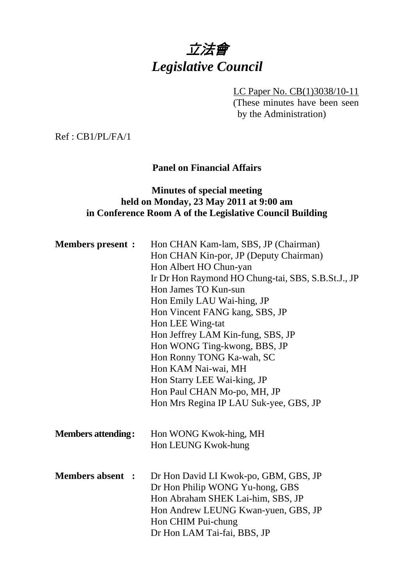# 立法會 *Legislative Council*

LC Paper No. CB(1)3038/10-11 (These minutes have been seen by the Administration)

Ref : CB1/PL/FA/1

# **Panel on Financial Affairs**

# **Minutes of special meeting held on Monday, 23 May 2011 at 9:00 am in Conference Room A of the Legislative Council Building**

| <b>Members present :</b>  | Hon CHAN Kam-lam, SBS, JP (Chairman)<br>Hon CHAN Kin-por, JP (Deputy Chairman)<br>Hon Albert HO Chun-yan<br>Ir Dr Hon Raymond HO Chung-tai, SBS, S.B.St.J., JP<br>Hon James TO Kun-sun<br>Hon Emily LAU Wai-hing, JP<br>Hon Vincent FANG kang, SBS, JP<br>Hon LEE Wing-tat<br>Hon Jeffrey LAM Kin-fung, SBS, JP<br>Hon WONG Ting-kwong, BBS, JP<br>Hon Ronny TONG Ka-wah, SC<br>Hon KAM Nai-wai, MH<br>Hon Starry LEE Wai-king, JP |
|---------------------------|------------------------------------------------------------------------------------------------------------------------------------------------------------------------------------------------------------------------------------------------------------------------------------------------------------------------------------------------------------------------------------------------------------------------------------|
|                           | Hon Paul CHAN Mo-po, MH, JP                                                                                                                                                                                                                                                                                                                                                                                                        |
|                           | Hon Mrs Regina IP LAU Suk-yee, GBS, JP                                                                                                                                                                                                                                                                                                                                                                                             |
| <b>Members attending:</b> | Hon WONG Kwok-hing, MH<br>Hon LEUNG Kwok-hung                                                                                                                                                                                                                                                                                                                                                                                      |
|                           |                                                                                                                                                                                                                                                                                                                                                                                                                                    |
| <b>Members absent :</b>   | Dr Hon David LI Kwok-po, GBM, GBS, JP<br>Dr Hon Philip WONG Yu-hong, GBS<br>Hon Abraham SHEK Lai-him, SBS, JP<br>Hon Andrew LEUNG Kwan-yuen, GBS, JP<br>Hon CHIM Pui-chung<br>Dr Hon LAM Tai-fai, BBS, JP                                                                                                                                                                                                                          |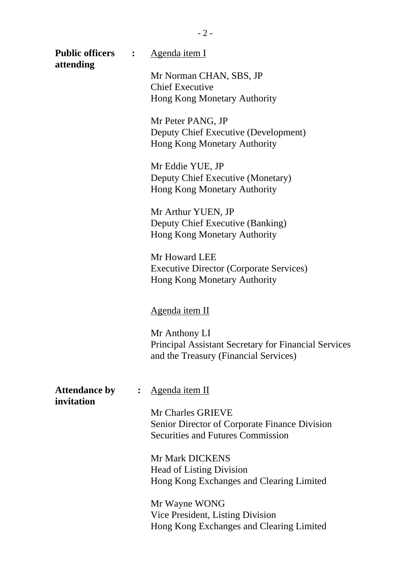| <b>Public officers</b><br>attending | $\ddot{\cdot}$ | <u>Agenda item I</u>                                                                                                  |  |
|-------------------------------------|----------------|-----------------------------------------------------------------------------------------------------------------------|--|
|                                     |                | Mr Norman CHAN, SBS, JP                                                                                               |  |
|                                     |                | <b>Chief Executive</b>                                                                                                |  |
|                                     |                | Hong Kong Monetary Authority                                                                                          |  |
|                                     |                | Mr Peter PANG, JP<br>Deputy Chief Executive (Development)<br>Hong Kong Monetary Authority                             |  |
|                                     |                | Mr Eddie YUE, JP<br>Deputy Chief Executive (Monetary)<br>Hong Kong Monetary Authority                                 |  |
|                                     |                | Mr Arthur YUEN, JP<br>Deputy Chief Executive (Banking)<br>Hong Kong Monetary Authority                                |  |
|                                     |                | Mr Howard LEE<br><b>Executive Director (Corporate Services)</b><br>Hong Kong Monetary Authority                       |  |
|                                     |                | <u>Agenda item II</u>                                                                                                 |  |
|                                     |                | Mr Anthony LI<br><b>Principal Assistant Secretary for Financial Services</b><br>and the Treasury (Financial Services) |  |
| <b>Attendance by</b><br>invitation  | $\ddot{\cdot}$ | Agenda item II                                                                                                        |  |
|                                     |                | Mr Charles GRIEVE<br>Senior Director of Corporate Finance Division                                                    |  |
|                                     |                | <b>Securities and Futures Commission</b>                                                                              |  |
|                                     |                | Mr Mark DICKENS                                                                                                       |  |
|                                     |                | <b>Head of Listing Division</b>                                                                                       |  |
|                                     |                | Hong Kong Exchanges and Clearing Limited                                                                              |  |
|                                     |                | Mr Wayne WONG                                                                                                         |  |
|                                     |                | Vice President, Listing Division                                                                                      |  |
|                                     |                | Hong Kong Exchanges and Clearing Limited                                                                              |  |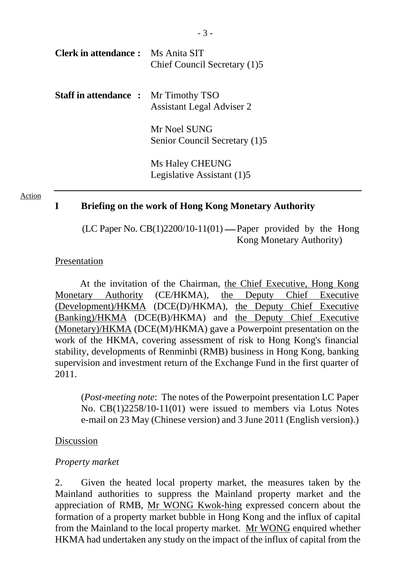| <b>Clerk in attendance :</b> Ms Anita SIT   | Chief Council Secretary (1)5     |
|---------------------------------------------|----------------------------------|
| <b>Staff in attendance :</b> Mr Timothy TSO | <b>Assistant Legal Adviser 2</b> |

Mr Noel SUNG Senior Council Secretary (1)5

Ms Haley CHEUNG Legislative Assistant (1)5

#### Action

#### **I Briefing on the work of Hong Kong Monetary Authority**

(LC Paper No.  $CB(1)2200/10-11(01)$  — Paper provided by the Hong Kong Monetary Authority)

#### Presentation

At the invitation of the Chairman, the Chief Executive, Hong Kong Monetary Authority (CE/HKMA), the Deputy Chief Executive (Development)/HKMA (DCE(D)/HKMA), the Deputy Chief Executive (Banking)/HKMA (DCE(B)/HKMA) and the Deputy Chief Executive (Monetary)/HKMA (DCE(M)/HKMA) gave a Powerpoint presentation on the work of the HKMA, covering assessment of risk to Hong Kong's financial stability, developments of Renminbi (RMB) business in Hong Kong, banking supervision and investment return of the Exchange Fund in the first quarter of 2011.

(*Post-meeting note*: The notes of the Powerpoint presentation LC Paper No. CB(1)2258/10-11(01) were issued to members via Lotus Notes e-mail on 23 May (Chinese version) and 3 June 2011 (English version).)

#### Discussion

#### *Property market*

2. Given the heated local property market, the measures taken by the Mainland authorities to suppress the Mainland property market and the appreciation of RMB, Mr WONG Kwok-hing expressed concern about the formation of a property market bubble in Hong Kong and the influx of capital from the Mainland to the local property market. Mr WONG enquired whether HKMA had undertaken any study on the impact of the influx of capital from the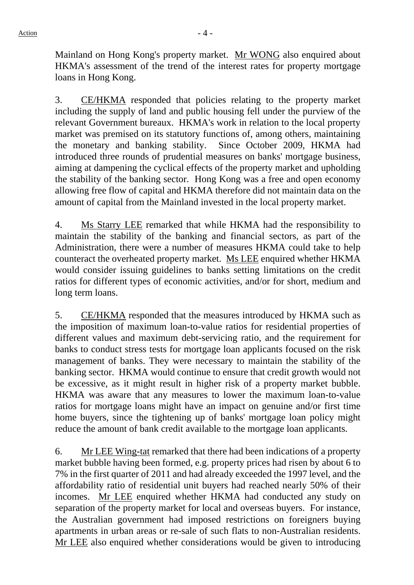Mainland on Hong Kong's property market. Mr WONG also enquired about HKMA's assessment of the trend of the interest rates for property mortgage loans in Hong Kong.

3. CE/HKMA responded that policies relating to the property market including the supply of land and public housing fell under the purview of the relevant Government bureaux. HKMA's work in relation to the local property market was premised on its statutory functions of, among others, maintaining the monetary and banking stability. Since October 2009, HKMA had introduced three rounds of prudential measures on banks' mortgage business, aiming at dampening the cyclical effects of the property market and upholding the stability of the banking sector. Hong Kong was a free and open economy allowing free flow of capital and HKMA therefore did not maintain data on the amount of capital from the Mainland invested in the local property market.

4. Ms Starry LEE remarked that while HKMA had the responsibility to maintain the stability of the banking and financial sectors, as part of the Administration, there were a number of measures HKMA could take to help counteract the overheated property market. Ms LEE enquired whether HKMA would consider issuing guidelines to banks setting limitations on the credit ratios for different types of economic activities, and/or for short, medium and long term loans.

5. CE/HKMA responded that the measures introduced by HKMA such as the imposition of maximum loan-to-value ratios for residential properties of different values and maximum debt-servicing ratio, and the requirement for banks to conduct stress tests for mortgage loan applicants focused on the risk management of banks. They were necessary to maintain the stability of the banking sector. HKMA would continue to ensure that credit growth would not be excessive, as it might result in higher risk of a property market bubble. HKMA was aware that any measures to lower the maximum loan-to-value ratios for mortgage loans might have an impact on genuine and/or first time home buyers, since the tightening up of banks' mortgage loan policy might reduce the amount of bank credit available to the mortgage loan applicants.

6. Mr LEE Wing-tat remarked that there had been indications of a property market bubble having been formed, e.g. property prices had risen by about 6 to 7% in the first quarter of 2011 and had already exceeded the 1997 level, and the affordability ratio of residential unit buyers had reached nearly 50% of their incomes. Mr LEE enquired whether HKMA had conducted any study on separation of the property market for local and overseas buyers. For instance, the Australian government had imposed restrictions on foreigners buying apartments in urban areas or re-sale of such flats to non-Australian residents. Mr LEE also enquired whether considerations would be given to introducing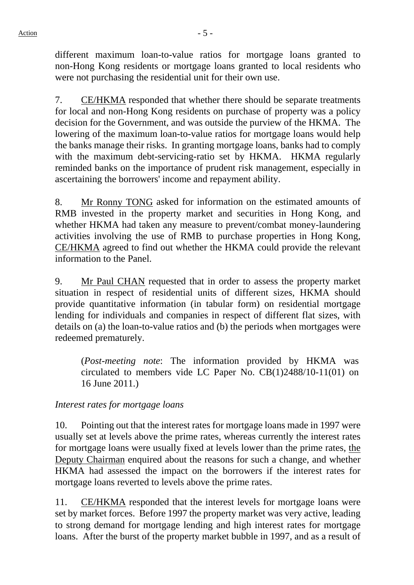different maximum loan-to-value ratios for mortgage loans granted to non-Hong Kong residents or mortgage loans granted to local residents who were not purchasing the residential unit for their own use.

7. CE/HKMA responded that whether there should be separate treatments for local and non-Hong Kong residents on purchase of property was a policy decision for the Government, and was outside the purview of the HKMA. The lowering of the maximum loan-to-value ratios for mortgage loans would help the banks manage their risks. In granting mortgage loans, banks had to comply with the maximum debt-servicing-ratio set by HKMA. HKMA regularly reminded banks on the importance of prudent risk management, especially in ascertaining the borrowers' income and repayment ability.

8. Mr Ronny TONG asked for information on the estimated amounts of RMB invested in the property market and securities in Hong Kong, and whether HKMA had taken any measure to prevent/combat money-laundering activities involving the use of RMB to purchase properties in Hong Kong, CE/HKMA agreed to find out whether the HKMA could provide the relevant information to the Panel.

9. Mr Paul CHAN requested that in order to assess the property market situation in respect of residential units of different sizes, HKMA should provide quantitative information (in tabular form) on residential mortgage lending for individuals and companies in respect of different flat sizes, with details on (a) the loan-to-value ratios and (b) the periods when mortgages were redeemed prematurely.

(*Post-meeting note*: The information provided by HKMA was circulated to members vide LC Paper No. CB(1)2488/10-11(01) on 16 June 2011.)

## *Interest rates for mortgage loans*

10. Pointing out that the interest rates for mortgage loans made in 1997 were usually set at levels above the prime rates, whereas currently the interest rates for mortgage loans were usually fixed at levels lower than the prime rates, the Deputy Chairman enquired about the reasons for such a change, and whether HKMA had assessed the impact on the borrowers if the interest rates for mortgage loans reverted to levels above the prime rates.

11. CE/HKMA responded that the interest levels for mortgage loans were set by market forces. Before 1997 the property market was very active, leading to strong demand for mortgage lending and high interest rates for mortgage loans. After the burst of the property market bubble in 1997, and as a result of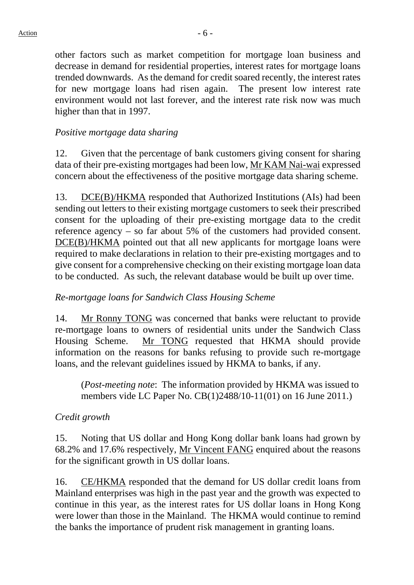other factors such as market competition for mortgage loan business and decrease in demand for residential properties, interest rates for mortgage loans trended downwards. As the demand for credit soared recently, the interest rates for new mortgage loans had risen again. The present low interest rate environment would not last forever, and the interest rate risk now was much higher than that in 1997.

#### *Positive mortgage data sharing*

12. Given that the percentage of bank customers giving consent for sharing data of their pre-existing mortgages had been low, Mr KAM Nai-wai expressed concern about the effectiveness of the positive mortgage data sharing scheme.

13. DCE(B)/HKMA responded that Authorized Institutions (AIs) had been sending out letters to their existing mortgage customers to seek their prescribed consent for the uploading of their pre-existing mortgage data to the credit reference agency – so far about 5% of the customers had provided consent. DCE(B)/HKMA pointed out that all new applicants for mortgage loans were required to make declarations in relation to their pre-existing mortgages and to give consent for a comprehensive checking on their existing mortgage loan data to be conducted. As such, the relevant database would be built up over time.

#### *Re-mortgage loans for Sandwich Class Housing Scheme*

14. Mr Ronny TONG was concerned that banks were reluctant to provide re-mortgage loans to owners of residential units under the Sandwich Class Housing Scheme. Mr TONG requested that HKMA should provide information on the reasons for banks refusing to provide such re-mortgage loans, and the relevant guidelines issued by HKMA to banks, if any.

(*Post-meeting note*: The information provided by HKMA was issued to members vide LC Paper No. CB(1)2488/10-11(01) on 16 June 2011.)

#### *Credit growth*

15. Noting that US dollar and Hong Kong dollar bank loans had grown by 68.2% and 17.6% respectively, Mr Vincent FANG enquired about the reasons for the significant growth in US dollar loans.

16. CE/HKMA responded that the demand for US dollar credit loans from Mainland enterprises was high in the past year and the growth was expected to continue in this year, as the interest rates for US dollar loans in Hong Kong were lower than those in the Mainland. The HKMA would continue to remind the banks the importance of prudent risk management in granting loans.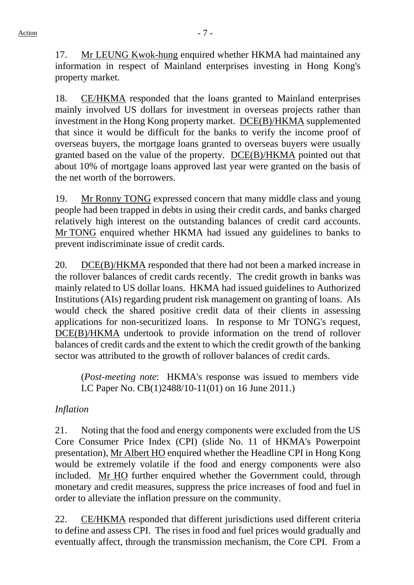17. Mr LEUNG Kwok-hung enquired whether HKMA had maintained any information in respect of Mainland enterprises investing in Hong Kong's property market.

18. CE/HKMA responded that the loans granted to Mainland enterprises mainly involved US dollars for investment in overseas projects rather than investment in the Hong Kong property market. DCE(B)/HKMA supplemented that since it would be difficult for the banks to verify the income proof of overseas buyers, the mortgage loans granted to overseas buyers were usually granted based on the value of the property. DCE(B)/HKMA pointed out that about 10% of mortgage loans approved last year were granted on the basis of the net worth of the borrowers.

19. Mr Ronny TONG expressed concern that many middle class and young people had been trapped in debts in using their credit cards, and banks charged relatively high interest on the outstanding balances of credit card accounts. Mr TONG enquired whether HKMA had issued any guidelines to banks to prevent indiscriminate issue of credit cards.

20. DCE(B)/HKMA responded that there had not been a marked increase in the rollover balances of credit cards recently. The credit growth in banks was mainly related to US dollar loans. HKMA had issued guidelines to Authorized Institutions (AIs) regarding prudent risk management on granting of loans. AIs would check the shared positive credit data of their clients in assessing applications for non-securitized loans. In response to Mr TONG's request, DCE(B)/HKMA undertook to provide information on the trend of rollover balances of credit cards and the extent to which the credit growth of the banking sector was attributed to the growth of rollover balances of credit cards.

(*Post-meeting note*: HKMA's response was issued to members vide LC Paper No. CB(1)2488/10-11(01) on 16 June 2011.)

# *Inflation*

21. Noting that the food and energy components were excluded from the US Core Consumer Price Index (CPI) (slide No. 11 of HKMA's Powerpoint presentation), Mr Albert HO enquired whether the Headline CPI in Hong Kong would be extremely volatile if the food and energy components were also included. Mr HO further enquired whether the Government could, through monetary and credit measures, suppress the price increases of food and fuel in order to alleviate the inflation pressure on the community.

22. CE/HKMA responded that different jurisdictions used different criteria to define and assess CPI. The rises in food and fuel prices would gradually and eventually affect, through the transmission mechanism, the Core CPI. From a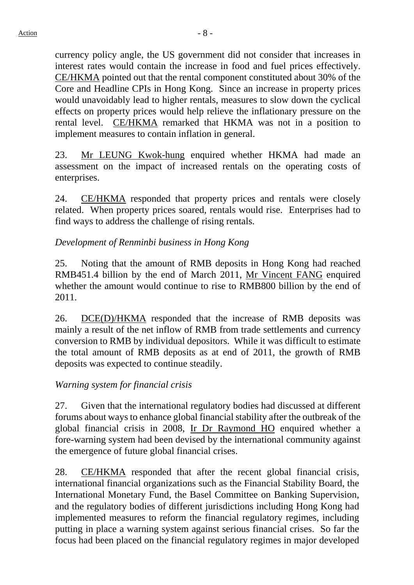currency policy angle, the US government did not consider that increases in interest rates would contain the increase in food and fuel prices effectively. CE/HKMA pointed out that the rental component constituted about 30% of the Core and Headline CPIs in Hong Kong. Since an increase in property prices would unavoidably lead to higher rentals, measures to slow down the cyclical effects on property prices would help relieve the inflationary pressure on the rental level. CE/HKMA remarked that HKMA was not in a position to implement measures to contain inflation in general.

23. Mr LEUNG Kwok-hung enquired whether HKMA had made an assessment on the impact of increased rentals on the operating costs of enterprises.

24. CE/HKMA responded that property prices and rentals were closely related. When property prices soared, rentals would rise. Enterprises had to find ways to address the challenge of rising rentals.

# *Development of Renminbi business in Hong Kong*

25. Noting that the amount of RMB deposits in Hong Kong had reached RMB451.4 billion by the end of March 2011, Mr Vincent FANG enquired whether the amount would continue to rise to RMB800 billion by the end of 2011.

26. DCE(D)/HKMA responded that the increase of RMB deposits was mainly a result of the net inflow of RMB from trade settlements and currency conversion to RMB by individual depositors. While it was difficult to estimate the total amount of RMB deposits as at end of 2011, the growth of RMB deposits was expected to continue steadily.

## *Warning system for financial crisis*

27. Given that the international regulatory bodies had discussed at different forums about ways to enhance global financial stability after the outbreak of the global financial crisis in 2008, Ir Dr Raymond HO enquired whether a fore-warning system had been devised by the international community against the emergence of future global financial crises.

28. CE/HKMA responded that after the recent global financial crisis, international financial organizations such as the Financial Stability Board, the International Monetary Fund, the Basel Committee on Banking Supervision, and the regulatory bodies of different jurisdictions including Hong Kong had implemented measures to reform the financial regulatory regimes, including putting in place a warning system against serious financial crises. So far the focus had been placed on the financial regulatory regimes in major developed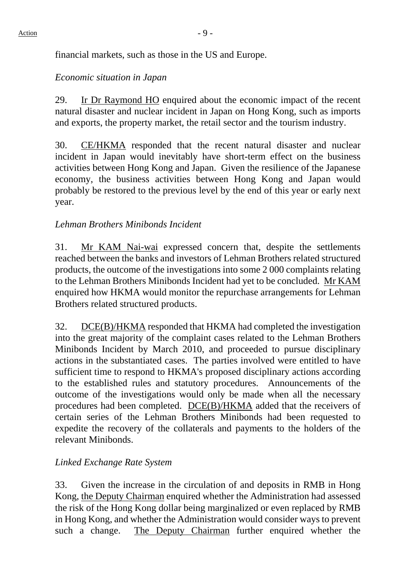financial markets, such as those in the US and Europe.

## *Economic situation in Japan*

29. Ir Dr Raymond HO enquired about the economic impact of the recent natural disaster and nuclear incident in Japan on Hong Kong, such as imports and exports, the property market, the retail sector and the tourism industry.

30. CE/HKMA responded that the recent natural disaster and nuclear incident in Japan would inevitably have short-term effect on the business activities between Hong Kong and Japan. Given the resilience of the Japanese economy, the business activities between Hong Kong and Japan would probably be restored to the previous level by the end of this year or early next year.

# *Lehman Brothers Minibonds Incident*

31. Mr KAM Nai-wai expressed concern that, despite the settlements reached between the banks and investors of Lehman Brothers related structured products, the outcome of the investigations into some 2 000 complaints relating to the Lehman Brothers Minibonds Incident had yet to be concluded. Mr KAM enquired how HKMA would monitor the repurchase arrangements for Lehman Brothers related structured products.

32. DCE(B)/HKMA responded that HKMA had completed the investigation into the great majority of the complaint cases related to the Lehman Brothers Minibonds Incident by March 2010, and proceeded to pursue disciplinary actions in the substantiated cases. The parties involved were entitled to have sufficient time to respond to HKMA's proposed disciplinary actions according to the established rules and statutory procedures. Announcements of the outcome of the investigations would only be made when all the necessary procedures had been completed. DCE(B)/HKMA added that the receivers of certain series of the Lehman Brothers Minibonds had been requested to expedite the recovery of the collaterals and payments to the holders of the relevant Minibonds.

## *Linked Exchange Rate System*

33. Given the increase in the circulation of and deposits in RMB in Hong Kong, the Deputy Chairman enquired whether the Administration had assessed the risk of the Hong Kong dollar being marginalized or even replaced by RMB in Hong Kong, and whether the Administration would consider ways to prevent such a change. The Deputy Chairman further enquired whether the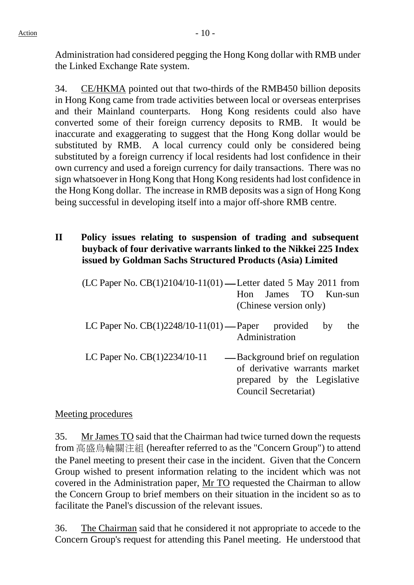Administration had considered pegging the Hong Kong dollar with RMB under the Linked Exchange Rate system.

34. CE/HKMA pointed out that two-thirds of the RMB450 billion deposits in Hong Kong came from trade activities between local or overseas enterprises and their Mainland counterparts. Hong Kong residents could also have converted some of their foreign currency deposits to RMB. It would be inaccurate and exaggerating to suggest that the Hong Kong dollar would be substituted by RMB. A local currency could only be considered being substituted by a foreign currency if local residents had lost confidence in their own currency and used a foreign currency for daily transactions. There was no sign whatsoever in Hong Kong that Hong Kong residents had lost confidence in the Hong Kong dollar. The increase in RMB deposits was a sign of Hong Kong being successful in developing itself into a major off-shore RMB centre.

# **II Policy issues relating to suspension of trading and subsequent buyback of four derivative warrants linked to the Nikkei 225 Index issued by Goldman Sachs Structured Products (Asia) Limited**

| (LC Paper No. CB(1)2104/10-11(01) — Letter dated 5 May 2011 from | James TO Kun-sun<br>$\mathsf{Hom}$<br>(Chinese version only)                                                             |
|------------------------------------------------------------------|--------------------------------------------------------------------------------------------------------------------------|
| LC Paper No. $CB(1)2248/10-11(01)$ —Paper provided               | the<br>by<br>Administration                                                                                              |
| LC Paper No. $CB(1)2234/10-11$                                   | — Background brief on regulation<br>of derivative warrants market<br>prepared by the Legislative<br>Council Secretariat) |

## Meeting procedures

35. Mr James TO said that the Chairman had twice turned down the requests from 高盛烏輪關注組 (hereafter referred to as the "Concern Group") to attend the Panel meeting to present their case in the incident. Given that the Concern Group wished to present information relating to the incident which was not covered in the Administration paper, Mr TO requested the Chairman to allow the Concern Group to brief members on their situation in the incident so as to facilitate the Panel's discussion of the relevant issues.

36. The Chairman said that he considered it not appropriate to accede to the Concern Group's request for attending this Panel meeting. He understood that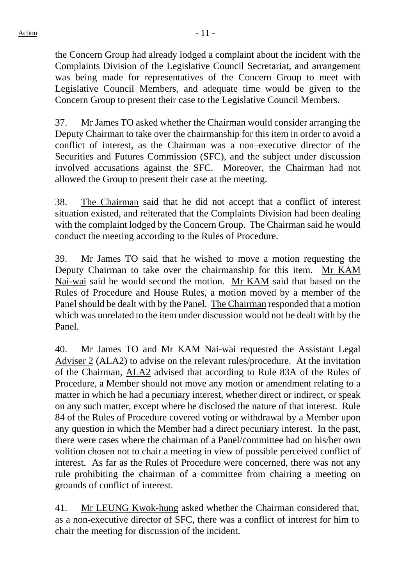the Concern Group had already lodged a complaint about the incident with the Complaints Division of the Legislative Council Secretariat, and arrangement was being made for representatives of the Concern Group to meet with Legislative Council Members, and adequate time would be given to the Concern Group to present their case to the Legislative Council Members.

37. Mr James TO asked whether the Chairman would consider arranging the Deputy Chairman to take over the chairmanship for this item in order to avoid a conflict of interest, as the Chairman was a non–executive director of the Securities and Futures Commission (SFC), and the subject under discussion involved accusations against the SFC. Moreover, the Chairman had not allowed the Group to present their case at the meeting.

38. The Chairman said that he did not accept that a conflict of interest situation existed, and reiterated that the Complaints Division had been dealing with the complaint lodged by the Concern Group. The Chairman said he would conduct the meeting according to the Rules of Procedure.

39. Mr James TO said that he wished to move a motion requesting the Deputy Chairman to take over the chairmanship for this item. Mr KAM Nai-wai said he would second the motion. Mr KAM said that based on the Rules of Procedure and House Rules, a motion moved by a member of the Panel should be dealt with by the Panel. The Chairman responded that a motion which was unrelated to the item under discussion would not be dealt with by the Panel.

40. Mr James TO and Mr KAM Nai-wai requested the Assistant Legal Adviser 2 (ALA2) to advise on the relevant rules/procedure. At the invitation of the Chairman, ALA2 advised that according to Rule 83A of the Rules of Procedure, a Member should not move any motion or amendment relating to a matter in which he had a pecuniary interest, whether direct or indirect, or speak on any such matter, except where he disclosed the nature of that interest. Rule 84 of the Rules of Procedure covered voting or withdrawal by a Member upon any question in which the Member had a direct pecuniary interest. In the past, there were cases where the chairman of a Panel/committee had on his/her own volition chosen not to chair a meeting in view of possible perceived conflict of interest. As far as the Rules of Procedure were concerned, there was not any rule prohibiting the chairman of a committee from chairing a meeting on grounds of conflict of interest.

41. Mr LEUNG Kwok-hung asked whether the Chairman considered that, as a non-executive director of SFC, there was a conflict of interest for him to chair the meeting for discussion of the incident.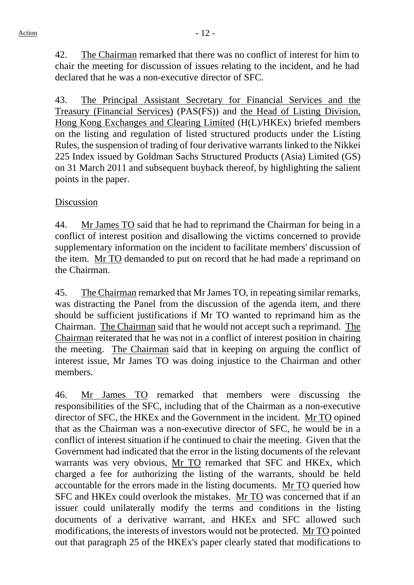42. The Chairman remarked that there was no conflict of interest for him to chair the meeting for discussion of issues relating to the incident, and he had declared that he was a non-executive director of SFC.

43. The Principal Assistant Secretary for Financial Services and the Treasury (Financial Services) (PAS(FS)) and the Head of Listing Division, Hong Kong Exchanges and Clearing Limited (H(L)/HKEx) briefed members on the listing and regulation of listed structured products under the Listing Rules, the suspension of trading of four derivative warrants linked to the Nikkei 225 Index issued by Goldman Sachs Structured Products (Asia) Limited (GS) on 31 March 2011 and subsequent buyback thereof, by highlighting the salient points in the paper.

## Discussion

44. Mr James TO said that he had to reprimand the Chairman for being in a conflict of interest position and disallowing the victims concerned to provide supplementary information on the incident to facilitate members' discussion of the item. Mr TO demanded to put on record that he had made a reprimand on the Chairman.

45. The Chairman remarked that Mr James TO, in repeating similar remarks, was distracting the Panel from the discussion of the agenda item, and there should be sufficient justifications if Mr TO wanted to reprimand him as the Chairman. The Chairman said that he would not accept such a reprimand. The Chairman reiterated that he was not in a conflict of interest position in chairing the meeting. The Chairman said that in keeping on arguing the conflict of interest issue, Mr James TO was doing injustice to the Chairman and other members.

46. Mr James TO remarked that members were discussing the responsibilities of the SFC, including that of the Chairman as a non-executive director of SFC, the HKEx and the Government in the incident. Mr TO opined that as the Chairman was a non-executive director of SFC, he would be in a conflict of interest situation if he continued to chair the meeting. Given that the Government had indicated that the error in the listing documents of the relevant warrants was very obvious, Mr TO remarked that SFC and HKEx, which charged a fee for authorizing the listing of the warrants, should be held accountable for the errors made in the listing documents. Mr TO queried how SFC and HKEx could overlook the mistakes. Mr TO was concerned that if an issuer could unilaterally modify the terms and conditions in the listing documents of a derivative warrant, and HKEx and SFC allowed such modifications, the interests of investors would not be protected. Mr TO pointed out that paragraph 25 of the HKEx's paper clearly stated that modifications to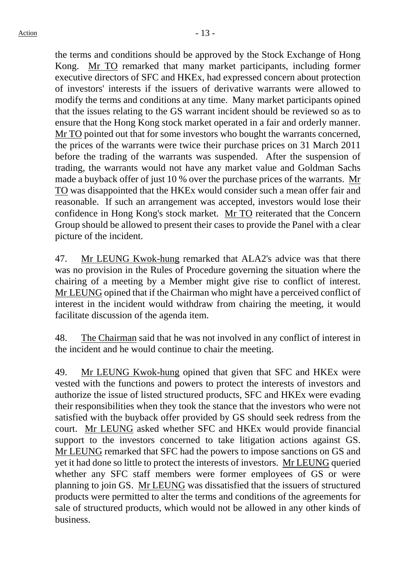the terms and conditions should be approved by the Stock Exchange of Hong Kong. Mr TO remarked that many market participants, including former executive directors of SFC and HKEx, had expressed concern about protection of investors' interests if the issuers of derivative warrants were allowed to modify the terms and conditions at any time. Many market participants opined that the issues relating to the GS warrant incident should be reviewed so as to ensure that the Hong Kong stock market operated in a fair and orderly manner. Mr TO pointed out that for some investors who bought the warrants concerned, the prices of the warrants were twice their purchase prices on 31 March 2011 before the trading of the warrants was suspended. After the suspension of trading, the warrants would not have any market value and Goldman Sachs made a buyback offer of just 10 % over the purchase prices of the warrants. Mr TO was disappointed that the HKEx would consider such a mean offer fair and reasonable. If such an arrangement was accepted, investors would lose their confidence in Hong Kong's stock market. Mr TO reiterated that the Concern Group should be allowed to present their cases to provide the Panel with a clear picture of the incident.

47. Mr LEUNG Kwok-hung remarked that ALA2's advice was that there was no provision in the Rules of Procedure governing the situation where the chairing of a meeting by a Member might give rise to conflict of interest. Mr LEUNG opined that if the Chairman who might have a perceived conflict of interest in the incident would withdraw from chairing the meeting, it would facilitate discussion of the agenda item.

48. The Chairman said that he was not involved in any conflict of interest in the incident and he would continue to chair the meeting.

49. Mr LEUNG Kwok-hung opined that given that SFC and HKEx were vested with the functions and powers to protect the interests of investors and authorize the issue of listed structured products, SFC and HKEx were evading their responsibilities when they took the stance that the investors who were not satisfied with the buyback offer provided by GS should seek redress from the court. Mr LEUNG asked whether SFC and HKEx would provide financial support to the investors concerned to take litigation actions against GS. Mr LEUNG remarked that SFC had the powers to impose sanctions on GS and yet it had done so little to protect the interests of investors. Mr LEUNG queried whether any SFC staff members were former employees of GS or were planning to join GS. Mr LEUNG was dissatisfied that the issuers of structured products were permitted to alter the terms and conditions of the agreements for sale of structured products, which would not be allowed in any other kinds of business.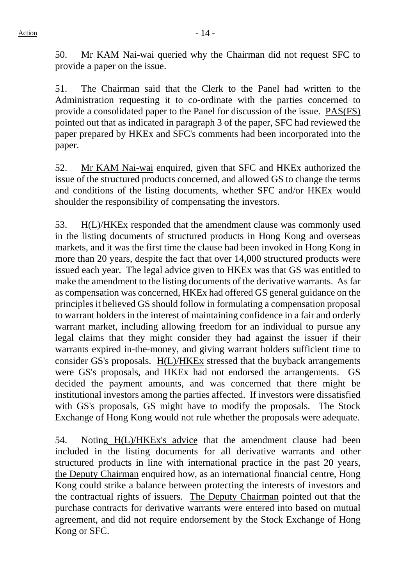50. Mr KAM Nai-wai queried why the Chairman did not request SFC to provide a paper on the issue.

51. The Chairman said that the Clerk to the Panel had written to the Administration requesting it to co-ordinate with the parties concerned to provide a consolidated paper to the Panel for discussion of the issue. PAS(FS) pointed out that as indicated in paragraph 3 of the paper, SFC had reviewed the paper prepared by HKEx and SFC's comments had been incorporated into the paper.

52. Mr KAM Nai-wai enquired, given that SFC and HKEx authorized the issue of the structured products concerned, and allowed GS to change the terms and conditions of the listing documents, whether SFC and/or HKEx would shoulder the responsibility of compensating the investors.

53. H(L)/HKEx responded that the amendment clause was commonly used in the listing documents of structured products in Hong Kong and overseas markets, and it was the first time the clause had been invoked in Hong Kong in more than 20 years, despite the fact that over 14,000 structured products were issued each year. The legal advice given to HKEx was that GS was entitled to make the amendment to the listing documents of the derivative warrants. As far as compensation was concerned, HKEx had offered GS general guidance on the principles it believed GS should follow in formulating a compensation proposal to warrant holders in the interest of maintaining confidence in a fair and orderly warrant market, including allowing freedom for an individual to pursue any legal claims that they might consider they had against the issuer if their warrants expired in-the-money, and giving warrant holders sufficient time to consider GS's proposals. H(L)/HKEx stressed that the buyback arrangements were GS's proposals, and HKEx had not endorsed the arrangements. GS decided the payment amounts, and was concerned that there might be institutional investors among the parties affected. If investors were dissatisfied with GS's proposals, GS might have to modify the proposals. The Stock Exchange of Hong Kong would not rule whether the proposals were adequate.

54. Noting H(L)/HKEx's advice that the amendment clause had been included in the listing documents for all derivative warrants and other structured products in line with international practice in the past 20 years, the Deputy Chairman enquired how, as an international financial centre, Hong Kong could strike a balance between protecting the interests of investors and the contractual rights of issuers. The Deputy Chairman pointed out that the purchase contracts for derivative warrants were entered into based on mutual agreement, and did not require endorsement by the Stock Exchange of Hong Kong or SFC.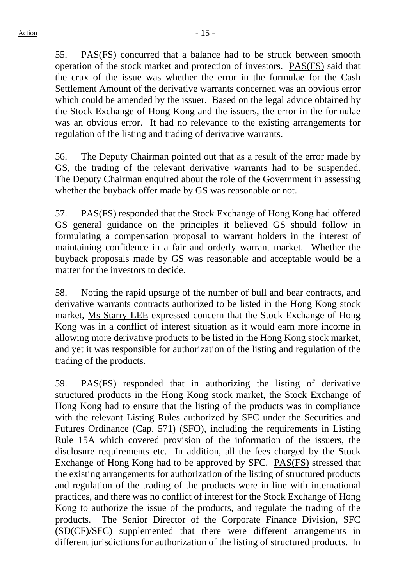55. PAS(FS) concurred that a balance had to be struck between smooth operation of the stock market and protection of investors. PAS(FS) said that the crux of the issue was whether the error in the formulae for the Cash Settlement Amount of the derivative warrants concerned was an obvious error which could be amended by the issuer. Based on the legal advice obtained by the Stock Exchange of Hong Kong and the issuers, the error in the formulae was an obvious error. It had no relevance to the existing arrangements for regulation of the listing and trading of derivative warrants.

56. The Deputy Chairman pointed out that as a result of the error made by GS, the trading of the relevant derivative warrants had to be suspended. The Deputy Chairman enquired about the role of the Government in assessing whether the buyback offer made by GS was reasonable or not.

57. PAS(FS) responded that the Stock Exchange of Hong Kong had offered GS general guidance on the principles it believed GS should follow in formulating a compensation proposal to warrant holders in the interest of maintaining confidence in a fair and orderly warrant market. Whether the buyback proposals made by GS was reasonable and acceptable would be a matter for the investors to decide.

58. Noting the rapid upsurge of the number of bull and bear contracts, and derivative warrants contracts authorized to be listed in the Hong Kong stock market, Ms Starry LEE expressed concern that the Stock Exchange of Hong Kong was in a conflict of interest situation as it would earn more income in allowing more derivative products to be listed in the Hong Kong stock market, and yet it was responsible for authorization of the listing and regulation of the trading of the products.

59. PAS(FS) responded that in authorizing the listing of derivative structured products in the Hong Kong stock market, the Stock Exchange of Hong Kong had to ensure that the listing of the products was in compliance with the relevant Listing Rules authorized by SFC under the Securities and Futures Ordinance (Cap. 571) (SFO), including the requirements in Listing Rule 15A which covered provision of the information of the issuers, the disclosure requirements etc. In addition, all the fees charged by the Stock Exchange of Hong Kong had to be approved by SFC. PAS(FS) stressed that the existing arrangements for authorization of the listing of structured products and regulation of the trading of the products were in line with international practices, and there was no conflict of interest for the Stock Exchange of Hong Kong to authorize the issue of the products, and regulate the trading of the products. The Senior Director of the Corporate Finance Division, SFC (SD(CF)/SFC) supplemented that there were different arrangements in different jurisdictions for authorization of the listing of structured products. In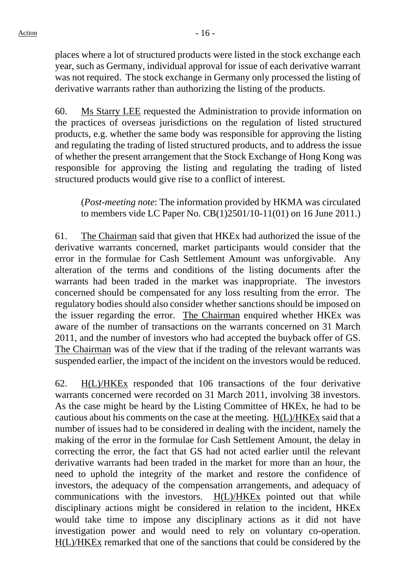places where a lot of structured products were listed in the stock exchange each year, such as Germany, individual approval for issue of each derivative warrant was not required. The stock exchange in Germany only processed the listing of derivative warrants rather than authorizing the listing of the products.

60. Ms Starry LEE requested the Administration to provide information on the practices of overseas jurisdictions on the regulation of listed structured products, e.g. whether the same body was responsible for approving the listing and regulating the trading of listed structured products, and to address the issue of whether the present arrangement that the Stock Exchange of Hong Kong was responsible for approving the listing and regulating the trading of listed structured products would give rise to a conflict of interest.

(*Post-meeting note*: The information provided by HKMA was circulated to members vide LC Paper No. CB(1)2501/10-11(01) on 16 June 2011.)

61. The Chairman said that given that HKEx had authorized the issue of the derivative warrants concerned, market participants would consider that the error in the formulae for Cash Settlement Amount was unforgivable. Any alteration of the terms and conditions of the listing documents after the warrants had been traded in the market was inappropriate. The investors concerned should be compensated for any loss resulting from the error. The regulatory bodies should also consider whether sanctions should be imposed on the issuer regarding the error. The Chairman enquired whether HKEx was aware of the number of transactions on the warrants concerned on 31 March 2011, and the number of investors who had accepted the buyback offer of GS. The Chairman was of the view that if the trading of the relevant warrants was suspended earlier, the impact of the incident on the investors would be reduced.

62. H(L)/HKEx responded that 106 transactions of the four derivative warrants concerned were recorded on 31 March 2011, involving 38 investors. As the case might be heard by the Listing Committee of HKEx, he had to be cautious about his comments on the case at the meeting. H(L)/HKEx said that a number of issues had to be considered in dealing with the incident, namely the making of the error in the formulae for Cash Settlement Amount, the delay in correcting the error, the fact that GS had not acted earlier until the relevant derivative warrants had been traded in the market for more than an hour, the need to uphold the integrity of the market and restore the confidence of investors, the adequacy of the compensation arrangements, and adequacy of communications with the investors. H(L)/HKEx pointed out that while disciplinary actions might be considered in relation to the incident, HKEx would take time to impose any disciplinary actions as it did not have investigation power and would need to rely on voluntary co-operation. H(L)/HKEx remarked that one of the sanctions that could be considered by the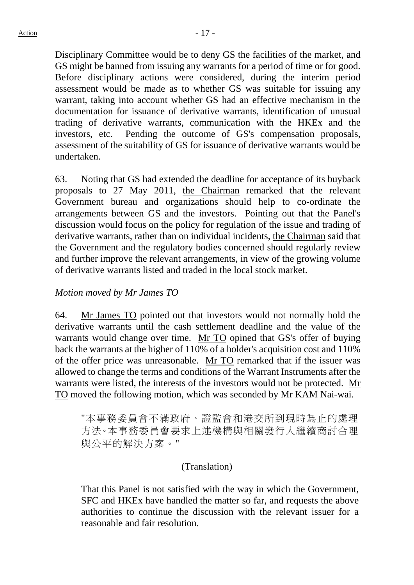Disciplinary Committee would be to deny GS the facilities of the market, and GS might be banned from issuing any warrants for a period of time or for good. Before disciplinary actions were considered, during the interim period assessment would be made as to whether GS was suitable for issuing any warrant, taking into account whether GS had an effective mechanism in the documentation for issuance of derivative warrants, identification of unusual trading of derivative warrants, communication with the HKEx and the investors, etc. Pending the outcome of GS's compensation proposals, assessment of the suitability of GS for issuance of derivative warrants would be undertaken.

63. Noting that GS had extended the deadline for acceptance of its buyback proposals to 27 May 2011, the Chairman remarked that the relevant Government bureau and organizations should help to co-ordinate the arrangements between GS and the investors. Pointing out that the Panel's discussion would focus on the policy for regulation of the issue and trading of derivative warrants, rather than on individual incidents, the Chairman said that the Government and the regulatory bodies concerned should regularly review and further improve the relevant arrangements, in view of the growing volume of derivative warrants listed and traded in the local stock market.

## *Motion moved by Mr James TO*

64. Mr James TO pointed out that investors would not normally hold the derivative warrants until the cash settlement deadline and the value of the warrants would change over time. Mr TO opined that GS's offer of buying back the warrants at the higher of 110% of a holder's acquisition cost and 110% of the offer price was unreasonable. Mr TO remarked that if the issuer was allowed to change the terms and conditions of the Warrant Instruments after the warrants were listed, the interests of the investors would not be protected. Mr TO moved the following motion, which was seconded by Mr KAM Nai-wai.

"本事務委員會不滿政府、證監會和港交所到現時為止的處理 方法。本事務委員會要求上述機構與相關發行人繼續商討合理 與公平的解決方案。"

#### (Translation)

That this Panel is not satisfied with the way in which the Government, SFC and HKEx have handled the matter so far, and requests the above authorities to continue the discussion with the relevant issuer for a reasonable and fair resolution.